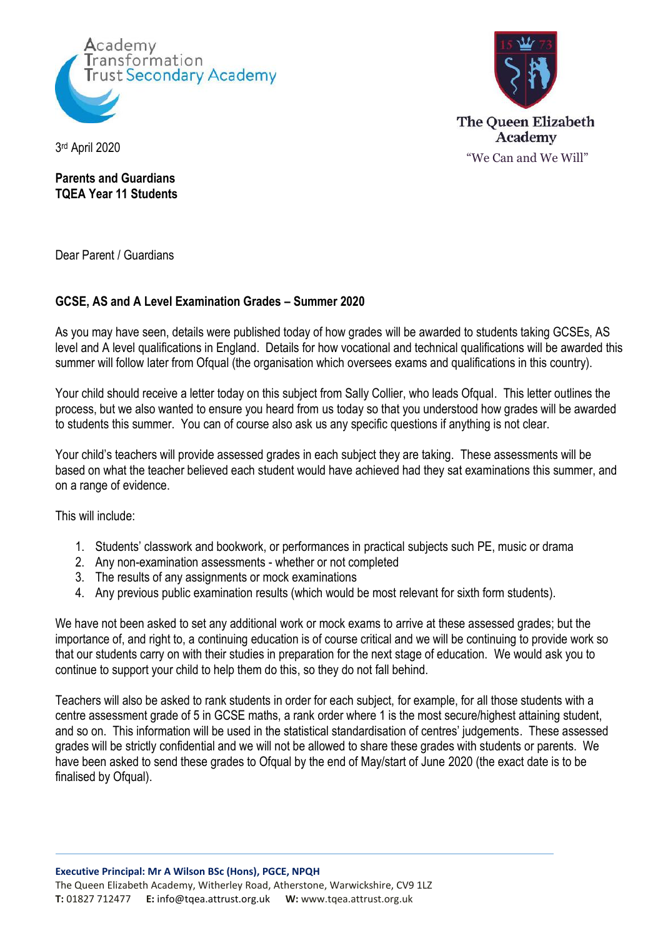



3 rd April 2020

**Parents and Guardians TQEA Year 11 Students**

Dear Parent / Guardians

## **GCSE, AS and A Level Examination Grades – Summer 2020**

As you may have seen, details were published today of how grades will be awarded to students taking GCSEs, AS level and A level qualifications in England. Details for how vocational and technical qualifications will be awarded this summer will follow later from Ofqual (the organisation which oversees exams and qualifications in this country).

Your child should receive a letter today on this subject from Sally Collier, who leads Ofqual. This letter outlines the process, but we also wanted to ensure you heard from us today so that you understood how grades will be awarded to students this summer. You can of course also ask us any specific questions if anything is not clear.

Your child's teachers will provide assessed grades in each subject they are taking. These assessments will be based on what the teacher believed each student would have achieved had they sat examinations this summer, and on a range of evidence.

This will include:

- 1. Students' classwork and bookwork, or performances in practical subjects such PE, music or drama
- 2. Any non-examination assessments whether or not completed
- 3. The results of any assignments or mock examinations
- 4. Any previous public examination results (which would be most relevant for sixth form students).

We have not been asked to set any additional work or mock exams to arrive at these assessed grades; but the importance of, and right to, a continuing education is of course critical and we will be continuing to provide work so that our students carry on with their studies in preparation for the next stage of education. We would ask you to continue to support your child to help them do this, so they do not fall behind.

Teachers will also be asked to rank students in order for each subject, for example, for all those students with a centre assessment grade of 5 in GCSE maths, a rank order where 1 is the most secure/highest attaining student, and so on. This information will be used in the statistical standardisation of centres' judgements. These assessed grades will be strictly confidential and we will not be allowed to share these grades with students or parents. We have been asked to send these grades to Ofqual by the end of May/start of June 2020 (the exact date is to be finalised by Ofqual).